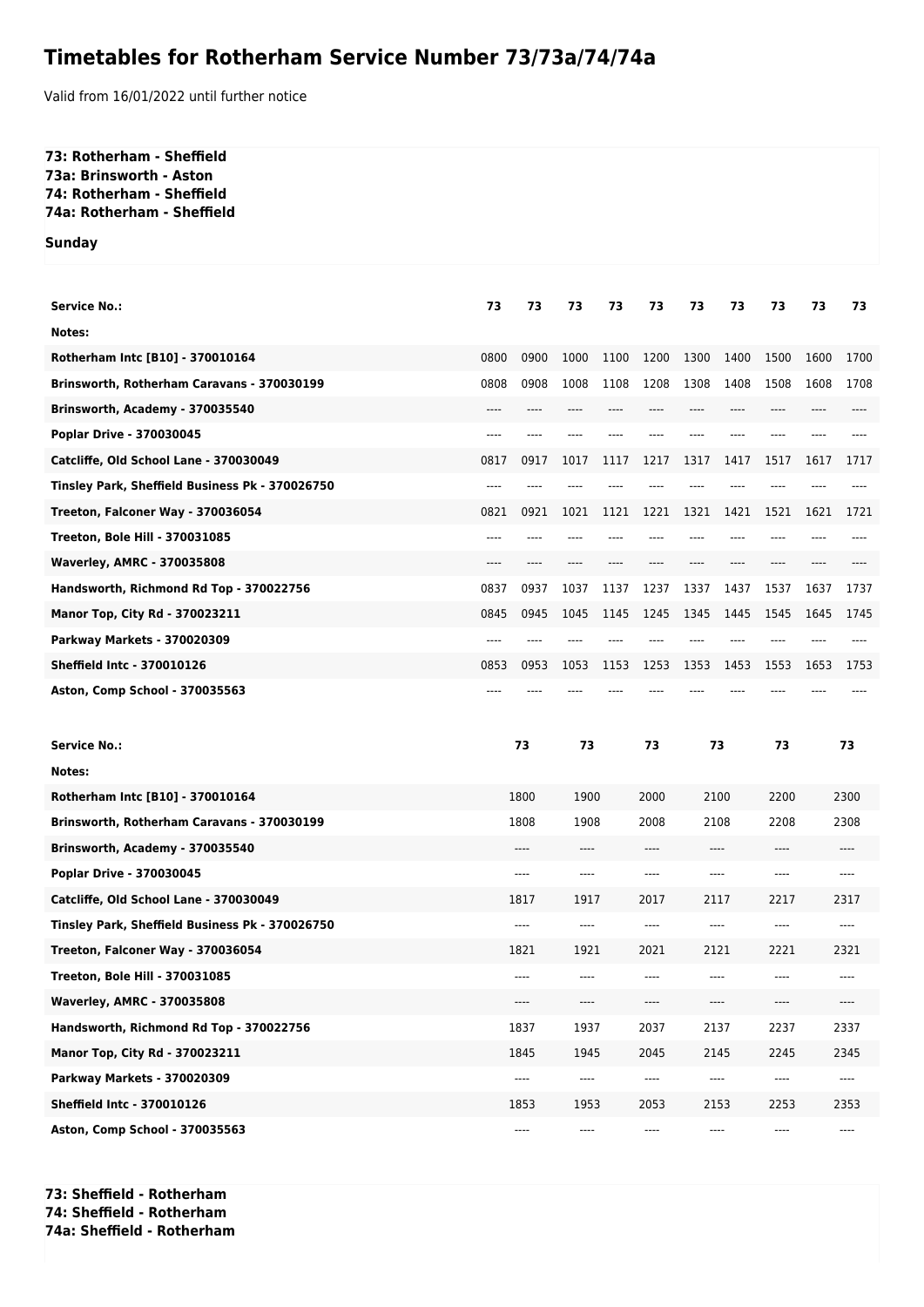## **Timetables for Rotherham Service Number 73/73a/74/74a**

Valid from 16/01/2022 until further notice

## **73: Rotherham - Sheffield 73a: Brinsworth - Aston 74: Rotherham - Sheffield 74a: Rotherham - Sheffield**

**Sunday**

| <b>Service No.:</b>                             | 73   | 73     | 73     | 73   | 73                            | 73    | 73   | 73   | 73   | 73   |
|-------------------------------------------------|------|--------|--------|------|-------------------------------|-------|------|------|------|------|
| Notes:                                          |      |        |        |      |                               |       |      |      |      |      |
| Rotherham Intc [B10] - 370010164                | 0800 | 0900   | 1000   | 1100 | 1200                          | 1300  | 1400 | 1500 | 1600 | 1700 |
| Brinsworth, Rotherham Caravans - 370030199      | 0808 | 0908   | 1008   | 1108 | 1208                          | 1308  | 1408 | 1508 | 1608 | 1708 |
| Brinsworth, Academy - 370035540                 | ---- | ----   | ----   | ---- |                               | ----  | ---- | ---- | ---- |      |
| Poplar Drive - 370030045                        | ---- |        |        |      |                               |       |      |      |      |      |
| Catcliffe, Old School Lane - 370030049          | 0817 | 0917   | 1017   | 1117 | 1217                          | 1317  | 1417 | 1517 | 1617 | 1717 |
| Tinsley Park, Sheffield Business Pk - 370026750 | ---- |        |        |      |                               |       | ---  |      |      |      |
| Treeton, Falconer Way - 370036054               | 0821 | 0921   | 1021   | 1121 | 1221                          | 1321  | 1421 | 1521 | 1621 | 1721 |
| <b>Treeton, Bole Hill - 370031085</b>           | ---- |        |        |      |                               |       |      |      |      |      |
| <b>Waverley, AMRC - 370035808</b>               | ---- |        |        |      |                               |       | ---- | ---- |      |      |
| Handsworth, Richmond Rd Top - 370022756         | 0837 | 0937   | 1037   | 1137 | 1237                          | 1337  | 1437 | 1537 | 1637 | 1737 |
| <b>Manor Top, City Rd - 370023211</b>           | 0845 | 0945   | 1045   | 1145 | 1245                          | 1345  | 1445 | 1545 | 1645 | 1745 |
| Parkway Markets - 370020309                     |      |        |        |      |                               |       |      |      |      |      |
| <b>Sheffield Intc - 370010126</b>               | 0853 | 0953   | 1053   | 1153 | 1253                          | 1353  | 1453 | 1553 | 1653 | 1753 |
| Aston, Comp School - 370035563                  |      |        |        |      |                               |       |      |      |      |      |
| <b>Service No.:</b>                             |      | 73     |        |      | 73                            | 73    |      | 73   | 73   |      |
| Notes:                                          |      |        |        |      |                               |       |      |      |      |      |
| Rotherham Intc [B10] - 370010164                |      | 1800   | 1900   |      | 2000                          | 2100  |      | 2200 | 2300 |      |
| Brinsworth, Rotherham Caravans - 370030199      |      | 1808   | 1908   |      | 2008                          | 2108  |      | 2208 | 2308 |      |
| Brinsworth, Academy - 370035540                 | ---- |        | ----   |      |                               | ----  |      | ---- |      |      |
| Poplar Drive - 370030045                        |      |        |        |      | ----                          |       |      |      |      |      |
|                                                 |      | ----   | $-- -$ |      | $---$                         | ----  |      | ---- |      | ---- |
| Catcliffe, Old School Lane - 370030049          |      | 1817   | 1917   |      | 2017                          | 2117  |      | 2217 |      | 2317 |
| Tinsley Park, Sheffield Business Pk - 370026750 |      | $-- -$ | $---$  |      | $---$                         | ----  |      | ---- |      | ---- |
| Treeton, Falconer Way - 370036054               |      | 1821   | 1921   |      | 2021                          | 2121  |      | 2221 |      | 2321 |
| <b>Treeton, Bole Hill - 370031085</b>           |      | ----   | $---$  |      | $---$                         | $---$ |      | ---- |      | ---- |
| <b>Waverley, AMRC - 370035808</b>               |      | ----   | ----   |      | $\hspace{1.5cm} \textbf{---}$ | ----  |      | ---- |      | ---- |
| Handsworth, Richmond Rd Top - 370022756         |      | 1837   | 1937   |      | 2037                          | 2137  |      | 2237 |      | 2337 |
| Manor Top, City Rd - 370023211                  |      | 1845   | 1945   |      | 2045                          | 2145  |      | 2245 |      | 2345 |
| <b>Parkway Markets - 370020309</b>              |      | ----   | ----   |      | $\hspace{1.5cm} \textbf{---}$ | ----  |      | ---- |      | ---- |
| <b>Sheffield Intc - 370010126</b>               |      | 1853   | 1953   |      | 2053                          |       | 2153 | 2253 |      | 2353 |